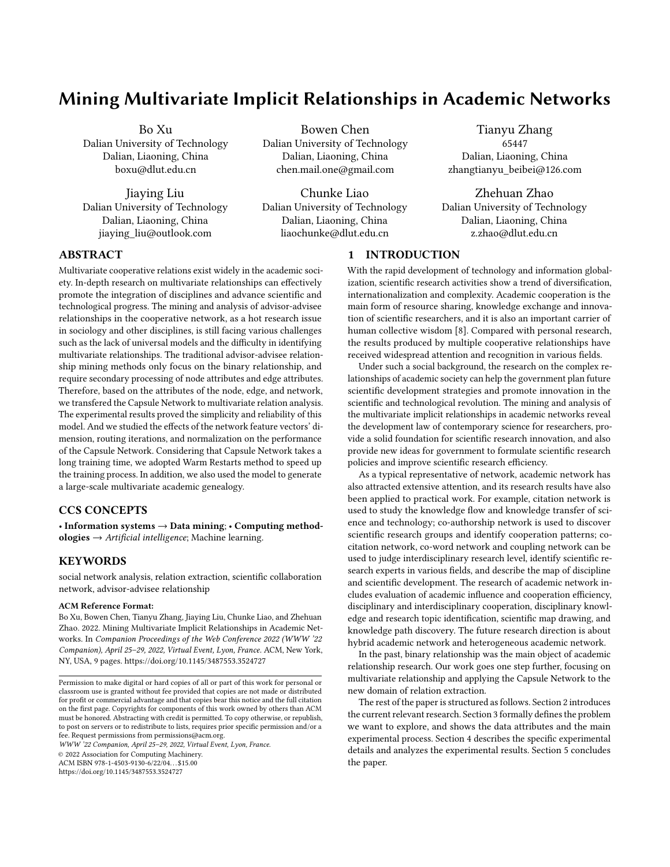# Mining Multivariate Implicit Relationships in Academic Networks

Bo Xu Dalian University of Technology Dalian, Liaoning, China boxu@dlut.edu.cn

Jiaying Liu Dalian University of Technology Dalian, Liaoning, China jiaying\_liu@outlook.com

Bowen Chen Dalian University of Technology Dalian, Liaoning, China chen.mail.one@gmail.com

Chunke Liao Dalian University of Technology Dalian, Liaoning, China liaochunke@dlut.edu.cn

Tianyu Zhang 65447 Dalian, Liaoning, China zhangtianyu\_beibei@126.com

Zhehuan Zhao Dalian University of Technology Dalian, Liaoning, China z.zhao@dlut.edu.cn

## ABSTRACT

Multivariate cooperative relations exist widely in the academic society. In-depth research on multivariate relationships can effectively promote the integration of disciplines and advance scientific and technological progress. The mining and analysis of advisor-advisee relationships in the cooperative network, as a hot research issue in sociology and other disciplines, is still facing various challenges such as the lack of universal models and the difficulty in identifying multivariate relationships. The traditional advisor-advisee relationship mining methods only focus on the binary relationship, and require secondary processing of node attributes and edge attributes. Therefore, based on the attributes of the node, edge, and network, we transfered the Capsule Network to multivariate relation analysis. The experimental results proved the simplicity and reliability of this model. And we studied the effects of the network feature vectors' dimension, routing iterations, and normalization on the performance of the Capsule Network. Considering that Capsule Network takes a long training time, we adopted Warm Restarts method to speed up the training process. In addition, we also used the model to generate a large-scale multivariate academic genealogy.

## CCS CONCEPTS

• Information systems  $\rightarrow$  Data mining; • Computing methodologies  $\rightarrow$  Artificial intelligence; Machine learning.

## **KEYWORDS**

social network analysis, relation extraction, scientific collaboration network, advisor-advisee relationship

#### ACM Reference Format:

Bo Xu, Bowen Chen, Tianyu Zhang, Jiaying Liu, Chunke Liao, and Zhehuan Zhao. 2022. Mining Multivariate Implicit Relationships in Academic Networks. In Companion Proceedings of the Web Conference 2022 (WWW '22 Companion), April 25–29, 2022, Virtual Event, Lyon, France. ACM, New York, NY, USA, [9](#page-8-0) pages.<https://doi.org/10.1145/3487553.3524727>

WWW '22 Companion, April 25–29, 2022, Virtual Event, Lyon, France.

© 2022 Association for Computing Machinery.

ACM ISBN 978-1-4503-9130-6/22/04. . . \$15.00

<https://doi.org/10.1145/3487553.3524727>

## 1 INTRODUCTION

With the rapid development of technology and information globalization, scientific research activities show a trend of diversification, internationalization and complexity. Academic cooperation is the main form of resource sharing, knowledge exchange and innovation of scientific researchers, and it is also an important carrier of human collective wisdom [\[8\]](#page-8-1). Compared with personal research, the results produced by multiple cooperative relationships have received widespread attention and recognition in various fields.

Under such a social background, the research on the complex relationships of academic society can help the government plan future scientific development strategies and promote innovation in the scientific and technological revolution. The mining and analysis of the multivariate implicit relationships in academic networks reveal the development law of contemporary science for researchers, provide a solid foundation for scientific research innovation, and also provide new ideas for government to formulate scientific research policies and improve scientific research efficiency.

As a typical representative of network, academic network has also attracted extensive attention, and its research results have also been applied to practical work. For example, citation network is used to study the knowledge flow and knowledge transfer of science and technology; co-authorship network is used to discover scientific research groups and identify cooperation patterns; cocitation network, co-word network and coupling network can be used to judge interdisciplinary research level, identify scientific research experts in various fields, and describe the map of discipline and scientific development. The research of academic network includes evaluation of academic influence and cooperation efficiency, disciplinary and interdisciplinary cooperation, disciplinary knowledge and research topic identification, scientific map drawing, and knowledge path discovery. The future research direction is about hybrid academic network and heterogeneous academic network.

In the past, binary relationship was the main object of academic relationship research. Our work goes one step further, focusing on multivariate relationship and applying the Capsule Network to the new domain of relation extraction.

The rest of the paper is structured as follows. Section 2 introduces the current relevant research. Section 3 formally defines the problem we want to explore, and shows the data attributes and the main experimental process. Section 4 describes the specific experimental details and analyzes the experimental results. Section 5 concludes the paper.

Permission to make digital or hard copies of all or part of this work for personal or classroom use is granted without fee provided that copies are not made or distributed for profit or commercial advantage and that copies bear this notice and the full citation on the first page. Copyrights for components of this work owned by others than ACM must be honored. Abstracting with credit is permitted. To copy otherwise, or republish, to post on servers or to redistribute to lists, requires prior specific permission and/or a fee. Request permissions from permissions@acm.org.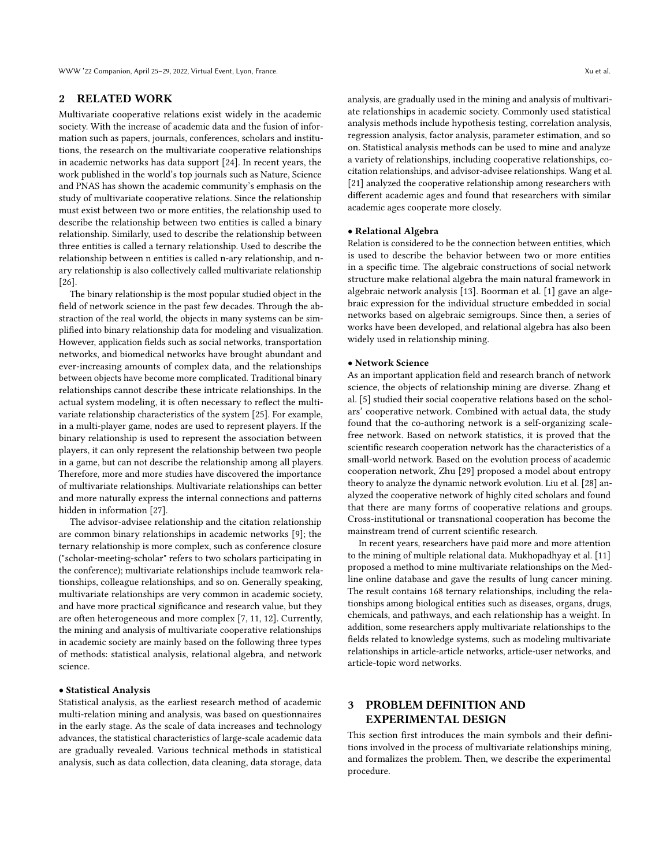## 2 RELATED WORK

Multivariate cooperative relations exist widely in the academic society. With the increase of academic data and the fusion of information such as papers, journals, conferences, scholars and institutions, the research on the multivariate cooperative relationships in academic networks has data support [\[24\]](#page-8-2). In recent years, the work published in the world's top journals such as Nature, Science and PNAS has shown the academic community's emphasis on the study of multivariate cooperative relations. Since the relationship must exist between two or more entities, the relationship used to describe the relationship between two entities is called a binary relationship. Similarly, used to describe the relationship between three entities is called a ternary relationship. Used to describe the relationship between n entities is called n-ary relationship, and nary relationship is also collectively called multivariate relationship [\[26\]](#page-8-3).

The binary relationship is the most popular studied object in the field of network science in the past few decades. Through the abstraction of the real world, the objects in many systems can be simplified into binary relationship data for modeling and visualization. However, application fields such as social networks, transportation networks, and biomedical networks have brought abundant and ever-increasing amounts of complex data, and the relationships between objects have become more complicated. Traditional binary relationships cannot describe these intricate relationships. In the actual system modeling, it is often necessary to reflect the multivariate relationship characteristics of the system [\[25\]](#page-8-4). For example, in a multi-player game, nodes are used to represent players. If the binary relationship is used to represent the association between players, it can only represent the relationship between two people in a game, but can not describe the relationship among all players. Therefore, more and more studies have discovered the importance of multivariate relationships. Multivariate relationships can better and more naturally express the internal connections and patterns hidden in information [\[27\]](#page-8-5).

The advisor-advisee relationship and the citation relationship are common binary relationships in academic networks [\[9\]](#page-8-6); the ternary relationship is more complex, such as conference closure ("scholar-meeting-scholar" refers to two scholars participating in the conference); multivariate relationships include teamwork relationships, colleague relationships, and so on. Generally speaking, multivariate relationships are very common in academic society, and have more practical significance and research value, but they are often heterogeneous and more complex [\[7,](#page-8-7) [11,](#page-8-8) [12\]](#page-8-9). Currently, the mining and analysis of multivariate cooperative relationships in academic society are mainly based on the following three types of methods: statistical analysis, relational algebra, and network science.

#### • Statistical Analysis

Statistical analysis, as the earliest research method of academic multi-relation mining and analysis, was based on questionnaires in the early stage. As the scale of data increases and technology advances, the statistical characteristics of large-scale academic data are gradually revealed. Various technical methods in statistical analysis, such as data collection, data cleaning, data storage, data analysis, are gradually used in the mining and analysis of multivariate relationships in academic society. Commonly used statistical analysis methods include hypothesis testing, correlation analysis, regression analysis, factor analysis, parameter estimation, and so on. Statistical analysis methods can be used to mine and analyze a variety of relationships, including cooperative relationships, cocitation relationships, and advisor-advisee relationships. Wang et al. [\[21\]](#page-8-10) analyzed the cooperative relationship among researchers with different academic ages and found that researchers with similar academic ages cooperate more closely.

#### • Relational Algebra

Relation is considered to be the connection between entities, which is used to describe the behavior between two or more entities in a specific time. The algebraic constructions of social network structure make relational algebra the main natural framework in algebraic network analysis [\[13\]](#page-8-11). Boorman et al. [\[1\]](#page-7-0) gave an algebraic expression for the individual structure embedded in social networks based on algebraic semigroups. Since then, a series of works have been developed, and relational algebra has also been widely used in relationship mining.

#### • Network Science

As an important application field and research branch of network science, the objects of relationship mining are diverse. Zhang et al. [\[5\]](#page-7-1) studied their social cooperative relations based on the scholars' cooperative network. Combined with actual data, the study found that the co-authoring network is a self-organizing scalefree network. Based on network statistics, it is proved that the scientific research cooperation network has the characteristics of a small-world network. Based on the evolution process of academic cooperation network, Zhu [\[29\]](#page-8-12) proposed a model about entropy theory to analyze the dynamic network evolution. Liu et al. [\[28\]](#page-8-13) analyzed the cooperative network of highly cited scholars and found that there are many forms of cooperative relations and groups. Cross-institutional or transnational cooperation has become the mainstream trend of current scientific research.

In recent years, researchers have paid more and more attention to the mining of multiple relational data. Mukhopadhyay et al. [\[11\]](#page-8-8) proposed a method to mine multivariate relationships on the Medline online database and gave the results of lung cancer mining. The result contains 168 ternary relationships, including the relationships among biological entities such as diseases, organs, drugs, chemicals, and pathways, and each relationship has a weight. In addition, some researchers apply multivariate relationships to the fields related to knowledge systems, such as modeling multivariate relationships in article-article networks, article-user networks, and article-topic word networks.

# PROBLEM DEFINITION AND EXPERIMENTAL DESIGN

This section first introduces the main symbols and their definitions involved in the process of multivariate relationships mining, and formalizes the problem. Then, we describe the experimental procedure.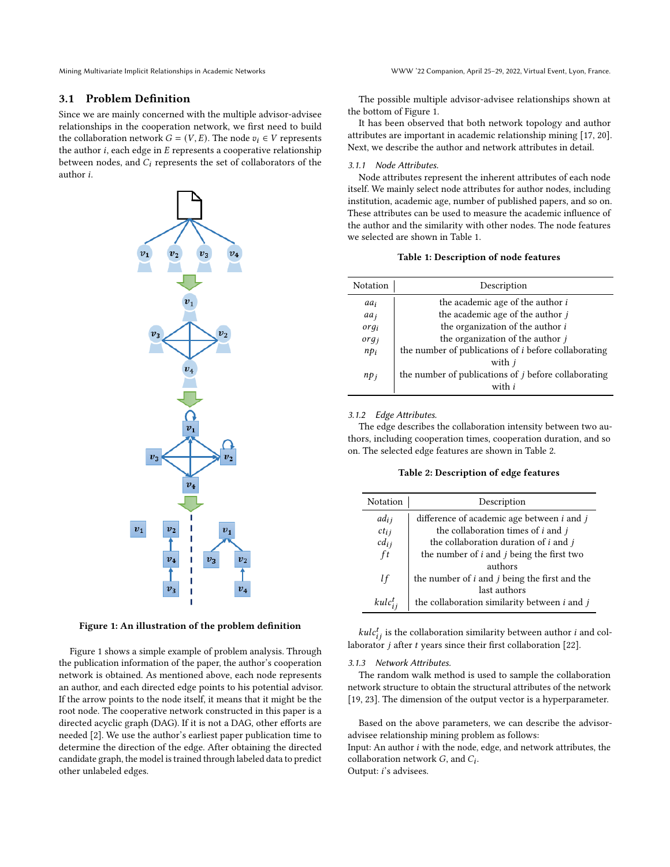Mining Multivariate Implicit Relationships in Academic Networks WWW '22 Companion, April 25–29, 2022, Virtual Event, Lyon, France.

## 3.1 Problem Definition

Since we are mainly concerned with the multiple advisor-advisee relationships in the cooperation network, we first need to build the collaboration network  $G = (V, E)$ . The node  $v_i \in V$  represents the author  $i$ , each edge in  $E$  represents a cooperative relationship between nodes, and  $C_i$  represents the set of collaborators of the author *i*.



Figure 1: An illustration of the problem definition

Figure 1 shows a simple example of problem analysis. Through the publication information of the paper, the author's cooperation network is obtained. As mentioned above, each node represents an author, and each directed edge points to his potential advisor. If the arrow points to the node itself, it means that it might be the root node. The cooperative network constructed in this paper is a directed acyclic graph (DAG). If it is not a DAG, other efforts are needed [\[2\]](#page-7-2). We use the author's earliest paper publication time to determine the direction of the edge. After obtaining the directed candidate graph, the model is trained through labeled data to predict other unlabeled edges.

The possible multiple advisor-advisee relationships shown at the bottom of Figure 1.

It has been observed that both network topology and author attributes are important in academic relationship mining [\[17,](#page-8-14) [20\]](#page-8-15). Next, we describe the author and network attributes in detail.

#### 3.1.1 Node Attributes.

Node attributes represent the inherent attributes of each node itself. We mainly select node attributes for author nodes, including institution, academic age, number of published papers, and so on. These attributes can be used to measure the academic influence of the author and the similarity with other nodes. The node features we selected are shown in Table 1.

#### Table 1: Description of node features

| Notation         | Description                                                 |
|------------------|-------------------------------------------------------------|
| aai              | the academic age of the author i                            |
| aa <sub>i</sub>  | the academic age of the author $j$                          |
| org <sub>i</sub> | the organization of the author i                            |
| org <sub>i</sub> | the organization of the author $j$                          |
| $np_i$           | the number of publications of $i$ before collaborating      |
|                  | with <i>j</i>                                               |
| $np_i$           | the number of publications of <i>j</i> before collaborating |
|                  | with <i>i</i>                                               |

#### 3.1.2 Edge Attributes.

The edge describes the collaboration intensity between two authors, including cooperation times, cooperation duration, and so on. The selected edge features are shown in Table 2.

#### Table 2: Description of edge features

| Notation  | Description                                                 |
|-----------|-------------------------------------------------------------|
| adj       | difference of academic age between $i$ and $j$              |
| $ct_{ij}$ | the collaboration times of $i$ and $j$                      |
| $cd_{ij}$ | the collaboration duration of $i$ and $j$                   |
| ft        | the number of <i>i</i> and <i>j</i> being the first two     |
|           | authors                                                     |
| lf        | the number of <i>i</i> and <i>j</i> being the first and the |
|           | last authors                                                |
| $kulct$ . | the collaboration similarity between $i$ and $j$            |

 $kulc_{ij}^{t}$  is the collaboration similarity between author *i* and collaborator  $j$  after  $t$  years since their first collaboration [\[22\]](#page-8-16).

#### 3.1.3 Network Attributes.

The random walk method is used to sample the collaboration network structure to obtain the structural attributes of the network [\[19,](#page-8-17) [23\]](#page-8-18). The dimension of the output vector is a hyperparameter.

Based on the above parameters, we can describe the advisoradvisee relationship mining problem as follows:

Input: An author  $i$  with the node, edge, and network attributes, the collaboration network  $G$ , and  $C_i$ . Output: *i*'s advisees.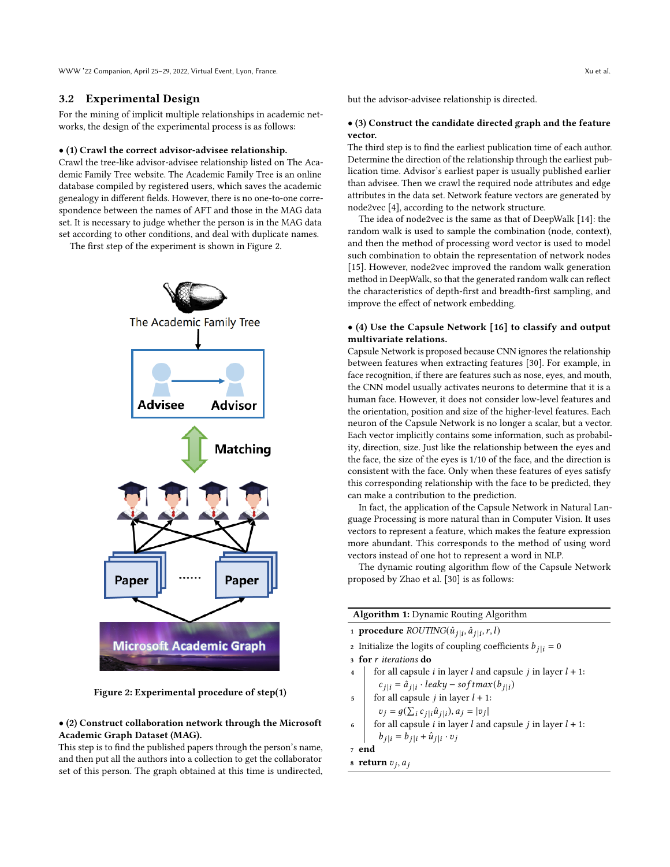WWW '22 Companion, April 25–29, 2022, Virtual Event, Lyon, France. Xu et al.

## 3.2 Experimental Design

For the mining of implicit multiple relationships in academic networks, the design of the experimental process is as follows:

## • (1) Crawl the correct advisor-advisee relationship.

Crawl the tree-like advisor-advisee relationship listed on The Academic Family Tree website. The Academic Family Tree is an online database compiled by registered users, which saves the academic genealogy in different fields. However, there is no one-to-one correspondence between the names of AFT and those in the MAG data set. It is necessary to judge whether the person is in the MAG data set according to other conditions, and deal with duplicate names.

The first step of the experiment is shown in Figure 2.



Figure 2: Experimental procedure of step(1)

## • (2) Construct collaboration network through the Microsoft Academic Graph Dataset (MAG).

This step is to find the published papers through the person's name, and then put all the authors into a collection to get the collaborator set of this person. The graph obtained at this time is undirected, but the advisor-advisee relationship is directed.

#### • (3) Construct the candidate directed graph and the feature vector.

The third step is to find the earliest publication time of each author. Determine the direction of the relationship through the earliest publication time. Advisor's earliest paper is usually published earlier than advisee. Then we crawl the required node attributes and edge attributes in the data set. Network feature vectors are generated by node2vec [\[4\]](#page-7-3), according to the network structure.

The idea of node2vec is the same as that of DeepWalk [\[14\]](#page-8-19): the random walk is used to sample the combination (node, context), and then the method of processing word vector is used to model such combination to obtain the representation of network nodes [\[15\]](#page-8-20). However, node2vec improved the random walk generation method in DeepWalk, so that the generated random walk can reflect the characteristics of depth-first and breadth-first sampling, and improve the effect of network embedding.

## • (4) Use the Capsule Network [\[16\]](#page-8-21) to classify and output multivariate relations.

Capsule Network is proposed because CNN ignores the relationship between features when extracting features [\[30\]](#page-8-22). For example, in face recognition, if there are features such as nose, eyes, and mouth, the CNN model usually activates neurons to determine that it is a human face. However, it does not consider low-level features and the orientation, position and size of the higher-level features. Each neuron of the Capsule Network is no longer a scalar, but a vector. Each vector implicitly contains some information, such as probability, direction, size. Just like the relationship between the eyes and the face, the size of the eyes is 1/10 of the face, and the direction is consistent with the face. Only when these features of eyes satisfy this corresponding relationship with the face to be predicted, they can make a contribution to the prediction.

In fact, the application of the Capsule Network in Natural Language Processing is more natural than in Computer Vision. It uses vectors to represent a feature, which makes the feature expression more abundant. This corresponds to the method of using word vectors instead of one hot to represent a word in NLP.

The dynamic routing algorithm flow of the Capsule Network proposed by Zhao et al. [\[30\]](#page-8-22) is as follows:

| <b>Algorithm 1:</b> Dynamic Routing Algorithm                    |  |  |
|------------------------------------------------------------------|--|--|
| 1 <b>procedure</b> $ROUTING(\hat{u}_{j i}, \hat{a}_{j i}, r, l)$ |  |  |

- 2 Initialize the logits of coupling coefficients  $b_{i|i} = 0$
- 3 for r iterations do
- 
- 4 for all capsule *i* in layer *l* and capsule *j* in layer  $l + 1$ :  $c_{j|i} = \hat{a}_{j|i} \cdot \text{leaky} - \text{softmax}(b_{j|i})$
- 5 for all capsule *j* in layer  $l + 1$ :  $v_j = g(\sum_i c_{j|i} \hat{u}_{j|i}), a_j = |v_j|$ |
- for all capsule *i* in layer *l* and capsule *j* in layer  $l + 1$ :  $b_{j|i} = b_{j|i} + \hat{u}_{j|i} \cdot v_j$

```
7 end
```
8 return  $v_j$ ,  $a_j$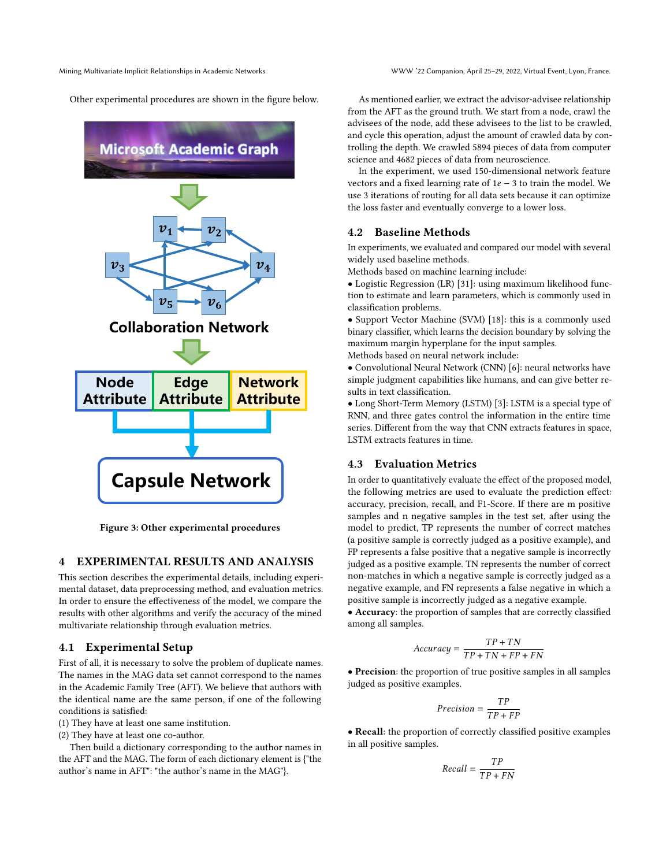Other experimental procedures are shown in the figure below.



Figure 3: Other experimental procedures

## 4 EXPERIMENTAL RESULTS AND ANALYSIS

This section describes the experimental details, including experimental dataset, data preprocessing method, and evaluation metrics. In order to ensure the effectiveness of the model, we compare the results with other algorithms and verify the accuracy of the mined multivariate relationship through evaluation metrics.

#### 4.1 Experimental Setup

First of all, it is necessary to solve the problem of duplicate names. The names in the MAG data set cannot correspond to the names in the Academic Family Tree (AFT). We believe that authors with the identical name are the same person, if one of the following conditions is satisfied:

- (1) They have at least one same institution.
- (2) They have at least one co-author.

Then build a dictionary corresponding to the author names in the AFT and the MAG. The form of each dictionary element is {"the author's name in AFT": "the author's name in the MAG"}.

As mentioned earlier, we extract the advisor-advisee relationship from the AFT as the ground truth. We start from a node, crawl the advisees of the node, add these advisees to the list to be crawled, and cycle this operation, adjust the amount of crawled data by controlling the depth. We crawled 5894 pieces of data from computer science and 4682 pieces of data from neuroscience.

In the experiment, we used 150-dimensional network feature vectors and a fixed learning rate of  $1e - 3$  to train the model. We use 3 iterations of routing for all data sets because it can optimize the loss faster and eventually converge to a lower loss.

## 4.2 Baseline Methods

In experiments, we evaluated and compared our model with several widely used baseline methods.

Methods based on machine learning include:

• Logistic Regression (LR) [\[31\]](#page-8-23): using maximum likelihood function to estimate and learn parameters, which is commonly used in classification problems.

• Support Vector Machine (SVM) [\[18\]](#page-8-24): this is a commonly used binary classifier, which learns the decision boundary by solving the maximum margin hyperplane for the input samples. Methods based on neural network include:

• Convolutional Neural Network (CNN) [\[6\]](#page-8-25): neural networks have simple judgment capabilities like humans, and can give better results in text classification.

• Long Short-Term Memory (LSTM) [\[3\]](#page-7-4): LSTM is a special type of RNN, and three gates control the information in the entire time series. Different from the way that CNN extracts features in space, LSTM extracts features in time.

### 4.3 Evaluation Metrics

In order to quantitatively evaluate the effect of the proposed model, the following metrics are used to evaluate the prediction effect: accuracy, precision, recall, and F1-Score. If there are m positive samples and n negative samples in the test set, after using the model to predict, TP represents the number of correct matches (a positive sample is correctly judged as a positive example), and FP represents a false positive that a negative sample is incorrectly judged as a positive example. TN represents the number of correct non-matches in which a negative sample is correctly judged as a negative example, and FN represents a false negative in which a positive sample is incorrectly judged as a negative example.

• Accuracy: the proportion of samples that are correctly classified among all samples.

$$
Accuracy = \frac{TP + TN}{TP + TN + FP + FN}
$$

• Precision: the proportion of true positive samples in all samples judged as positive examples.

$$
Precision = \frac{TP}{TP + FP}
$$

• Recall: the proportion of correctly classified positive examples in all positive samples.

$$
Recall = \frac{TP}{TP + FN}
$$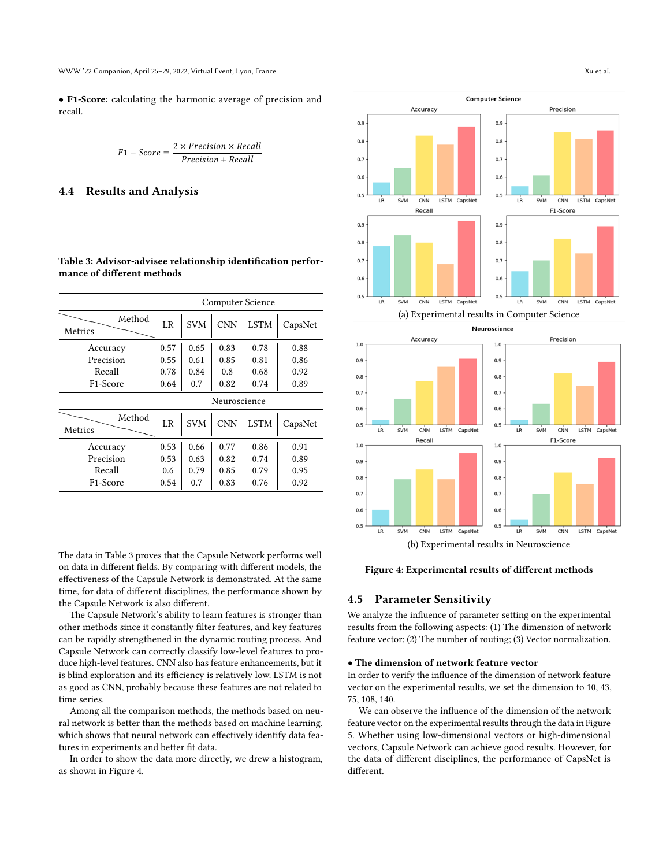WWW '22 Companion, April 25–29, 2022, Virtual Event, Lyon, France. Xu et al.

• F1-Score: calculating the harmonic average of precision and recall.

$$
F1 - Score = \frac{2 \times Precision \times Recall}{Precision + Recall}
$$

#### 4.4 Results and Analysis

| Table 3: Advisor-advisee relationship identification perfor- |  |
|--------------------------------------------------------------|--|
| mance of different methods                                   |  |

|                       |                |            |              | Computer Science |         |
|-----------------------|----------------|------------|--------------|------------------|---------|
| Method<br>Metrics     | L <sub>R</sub> | <b>SVM</b> | <b>CNN</b>   | <b>LSTM</b>      | CapsNet |
| Accuracy              | 0.57           | 0.65       | 0.83         | 0.78             | 0.88    |
| Precision             | 0.55           | 0.61       | 0.85         | 0.81             | 0.86    |
| Recall                | 0.78           | 0.84       | 0.8          | 0.68             | 0.92    |
| F <sub>1</sub> -Score | 0.64           | 0.7        | 0.82         | 0.74             | 0.89    |
|                       |                |            | Neuroscience |                  |         |
| Method<br>Metrics     | LR             | <b>SVM</b> | <b>CNN</b>   | <b>LSTM</b>      | CapsNet |
| Accuracy              | 0.53           | 0.66       | 0.77         | 0.86             | 0.91    |
| Precision             | 0.53           | 0.63       | 0.82         | 0.74             | 0.89    |
| Recall                | 0.6            | 0.79       | 0.85         | 0.79             | 0.95    |
| F <sub>1</sub> -Score | 0.54           | 0.7        | 0.83         | 0.76             | 0.92    |

The data in Table 3 proves that the Capsule Network performs well on data in different fields. By comparing with different models, the effectiveness of the Capsule Network is demonstrated. At the same time, for data of different disciplines, the performance shown by the Capsule Network is also different.

The Capsule Network's ability to learn features is stronger than other methods since it constantly filter features, and key features can be rapidly strengthened in the dynamic routing process. And Capsule Network can correctly classify low-level features to produce high-level features. CNN also has feature enhancements, but it is blind exploration and its efficiency is relatively low. LSTM is not as good as CNN, probably because these features are not related to time series.

Among all the comparison methods, the methods based on neural network is better than the methods based on machine learning, which shows that neural network can effectively identify data features in experiments and better fit data.

In order to show the data more directly, we drew a histogram, as shown in Figure 4.





 $0.9$ 

 $0.8$ 

Figure 4: Experimental results of different methods

### 4.5 Parameter Sensitivity

 $0.9$ 

 $0.8$ 

We analyze the influence of parameter setting on the experimental results from the following aspects: (1) The dimension of network feature vector; (2) The number of routing; (3) Vector normalization.

#### • The dimension of network feature vector

In order to verify the influence of the dimension of network feature vector on the experimental results, we set the dimension to 10, 43, 75, 108, 140.

We can observe the influence of the dimension of the network feature vector on the experimental results through the data in Figure 5. Whether using low-dimensional vectors or high-dimensional vectors, Capsule Network can achieve good results. However, for the data of different disciplines, the performance of CapsNet is different.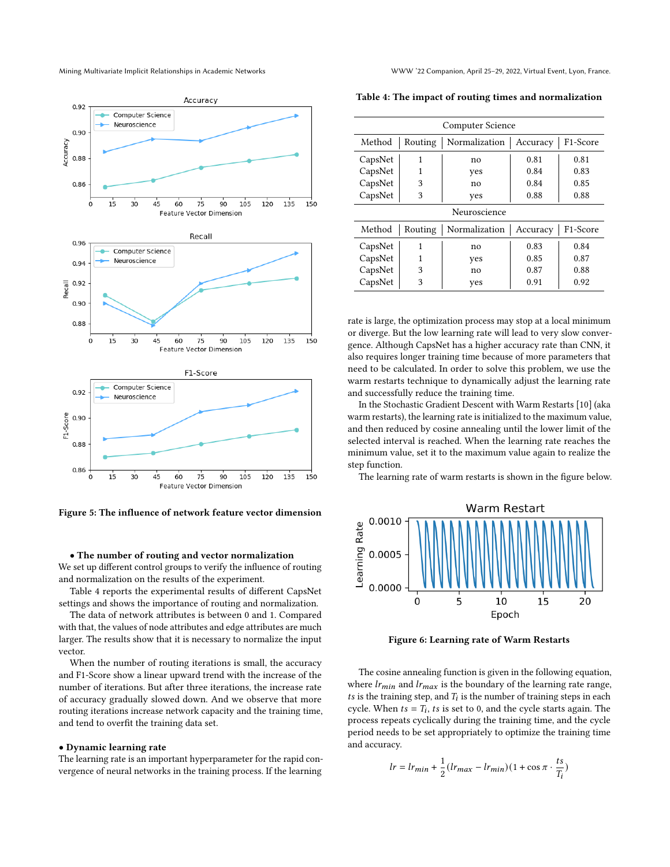

Figure 5: The influence of network feature vector dimension

#### • The number of routing and vector normalization

We set up different control groups to verify the influence of routing and normalization on the results of the experiment.

Table 4 reports the experimental results of different CapsNet settings and shows the importance of routing and normalization.

The data of network attributes is between 0 and 1. Compared with that, the values of node attributes and edge attributes are much larger. The results show that it is necessary to normalize the input vector.

When the number of routing iterations is small, the accuracy and F1-Score show a linear upward trend with the increase of the number of iterations. But after three iterations, the increase rate of accuracy gradually slowed down. And we observe that more routing iterations increase network capacity and the training time, and tend to overfit the training data set.

#### • Dynamic learning rate

The learning rate is an important hyperparameter for the rapid convergence of neural networks in the training process. If the learning

|              |         | <b>Computer Science</b> |          |                       |
|--------------|---------|-------------------------|----------|-----------------------|
| Method       | Routing | Normalization           | Accuracy | F1-Score              |
| CapsNet      | 1       | no                      | 0.81     | 0.81                  |
| CapsNet      | 1       | yes                     | 0.84     | 0.83                  |
| CapsNet      | 3       | no                      | 0.84     | 0.85                  |
| CapsNet      | 3       | yes                     | 0.88     | 0.88                  |
| Neuroscience |         |                         |          |                       |
| Method       | Routing | Normalization           | Accuracy | F <sub>1</sub> -Score |
| CapsNet      | 1       | no                      | 0.83     | 0.84                  |
| CapsNet      | 1       | yes                     | 0.85     | 0.87                  |
| CapsNet      | 3       | no                      | 0.87     | 0.88                  |
| CapsNet      | 3       | yes                     | 0.91     | 0.92                  |
|              |         |                         |          |                       |

rate is large, the optimization process may stop at a local minimum or diverge. But the low learning rate will lead to very slow convergence. Although CapsNet has a higher accuracy rate than CNN, it also requires longer training time because of more parameters that need to be calculated. In order to solve this problem, we use the warm restarts technique to dynamically adjust the learning rate and successfully reduce the training time.

In the Stochastic Gradient Descent with Warm Restarts [\[10\]](#page-8-26) (aka warm restarts), the learning rate is initialized to the maximum value, and then reduced by cosine annealing until the lower limit of the selected interval is reached. When the learning rate reaches the minimum value, set it to the maximum value again to realize the step function.

The learning rate of warm restarts is shown in the figure below.



Figure 6: Learning rate of Warm Restarts

The cosine annealing function is given in the following equation, where  $lr_{min}$  and  $lr_{max}$  is the boundary of the learning rate range, ts is the training step, and  $T_i$  is the number of training steps in each cycle. When  $ts = T_i$ , ts is set to 0, and the cycle starts again. The process repeats cyclically during the training time, and the cycle period needs to be set appropriately to optimize the training time and accuracy.

$$
lr = lr_{min} + \frac{1}{2}(lr_{max} - lr_{min})(1 + \cos \pi \cdot \frac{ts}{T_i})
$$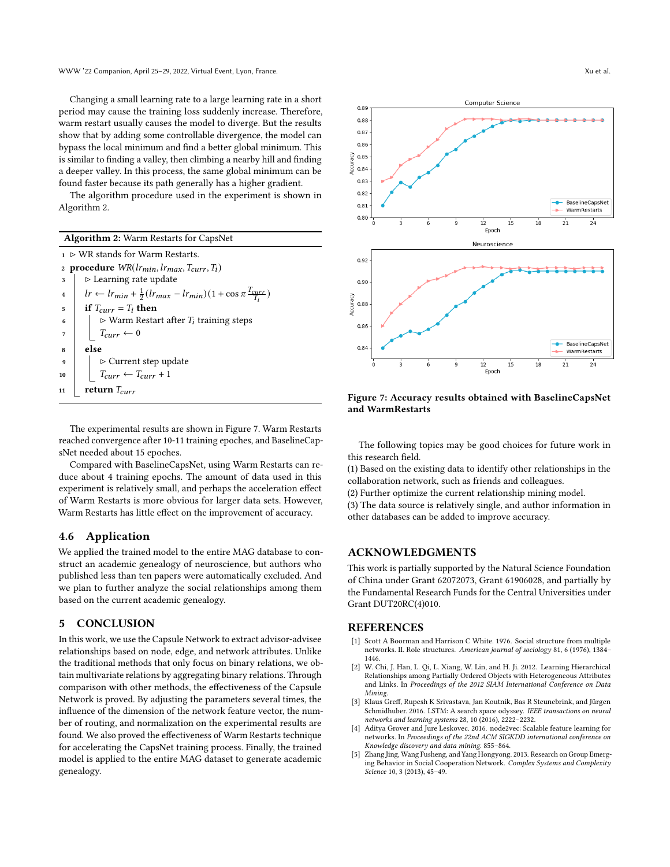Changing a small learning rate to a large learning rate in a short period may cause the training loss suddenly increase. Therefore, warm restart usually causes the model to diverge. But the results show that by adding some controllable divergence, the model can bypass the local minimum and find a better global minimum. This is similar to finding a valley, then climbing a nearby hill and finding a deeper valley. In this process, the same global minimum can be found faster because its path generally has a higher gradient.

The algorithm procedure used in the experiment is shown in Algorithm 2.

|                         | <b>Algorithm 2:</b> Warm Restarts for CapsNet                                                                                                     |
|-------------------------|---------------------------------------------------------------------------------------------------------------------------------------------------|
|                         | $1 \triangleright \text{WR}$ stands for Warm Restarts.                                                                                            |
|                         | 2 procedure $WR(lr_{min}, lr_{max}, T_{curr}, T_i)$                                                                                               |
| 3                       | $\triangleright$ Learning rate update                                                                                                             |
| $\overline{\mathbf{4}}$ | $\left  \quad lr \leftarrow l_{\text{rmin}} + \frac{1}{2} (l_{\text{rmax}} - l_{\text{rmin}}) (1 + \cos \pi \frac{l_{\text{curr}}}{T_i}) \right $ |
| 5                       | if $T_{curr} = T_i$ then                                                                                                                          |
| 6                       | $\triangleright$ Warm Restart after $T_i$ training steps                                                                                          |
| $\overline{7}$          | $T_{curr} \leftarrow 0$                                                                                                                           |
| 8                       | else                                                                                                                                              |
| $\mathbf{q}$            |                                                                                                                                                   |
| 10                      | $\label{eq:1} \begin{split} &\vartriangleright \text{Current step update}\\ &T_{curr} \leftarrow T_{curr} + 1 \end{split}$                        |
| return $T_{curr}$<br>11 |                                                                                                                                                   |

The experimental results are shown in Figure 7. Warm Restarts reached convergence after 10-11 training epoches, and BaselineCapsNet needed about 15 epoches.

Compared with BaselineCapsNet, using Warm Restarts can reduce about 4 training epochs. The amount of data used in this experiment is relatively small, and perhaps the acceleration effect of Warm Restarts is more obvious for larger data sets. However, Warm Restarts has little effect on the improvement of accuracy.

## 4.6 Application

We applied the trained model to the entire MAG database to construct an academic genealogy of neuroscience, but authors who published less than ten papers were automatically excluded. And we plan to further analyze the social relationships among them based on the current academic genealogy.

#### 5 CONCLUSION

In this work, we use the Capsule Network to extract advisor-advisee relationships based on node, edge, and network attributes. Unlike the traditional methods that only focus on binary relations, we obtain multivariate relations by aggregating binary relations. Through comparison with other methods, the effectiveness of the Capsule Network is proved. By adjusting the parameters several times, the influence of the dimension of the network feature vector, the number of routing, and normalization on the experimental results are found. We also proved the effectiveness of Warm Restarts technique for accelerating the CapsNet training process. Finally, the trained model is applied to the entire MAG dataset to generate academic genealogy.



## Figure 7: Accuracy results obtained with BaselineCapsNet and WarmRestarts

The following topics may be good choices for future work in this research field.

(1) Based on the existing data to identify other relationships in the collaboration network, such as friends and colleagues.

(2) Further optimize the current relationship mining model.

(3) The data source is relatively single, and author information in other databases can be added to improve accuracy.

## ACKNOWLEDGMENTS

This work is partially supported by the Natural Science Foundation of China under Grant 62072073, Grant 61906028, and partially by the Fundamental Research Funds for the Central Universities under Grant DUT20RC(4)010.

## **REFERENCES**

- <span id="page-7-0"></span>[1] Scott A Boorman and Harrison C White. 1976. Social structure from multiple networks. II. Role structures. American journal of sociology 81, 6 (1976), 1384– 1446.
- <span id="page-7-2"></span>[2] W. Chi, J. Han, L. Qi, L. Xiang, W. Lin, and H. Ji. 2012. Learning Hierarchical Relationships among Partially Ordered Objects with Heterogeneous Attributes and Links. In Proceedings of the 2012 SIAM International Conference on Data Mining.
- <span id="page-7-4"></span>[3] Klaus Greff, Rupesh K Srivastava, Jan Koutník, Bas R Steunebrink, and Jürgen Schmidhuber. 2016. LSTM: A search space odyssey. IEEE transactions on neural networks and learning systems 28, 10 (2016), 2222–2232.
- <span id="page-7-3"></span>Aditya Grover and Jure Leskovec. 2016. node2vec: Scalable feature learning for networks. In Proceedings of the 22nd ACM SIGKDD international conference on Knowledge discovery and data mining. 855–864.
- <span id="page-7-1"></span>[5] Zhang Jing, Wang Fusheng, and Yang Hongyong. 2013. Research on Group Emerging Behavior in Social Cooperation Network. Complex Systems and Complexity Science 10, 3 (2013), 45-49.